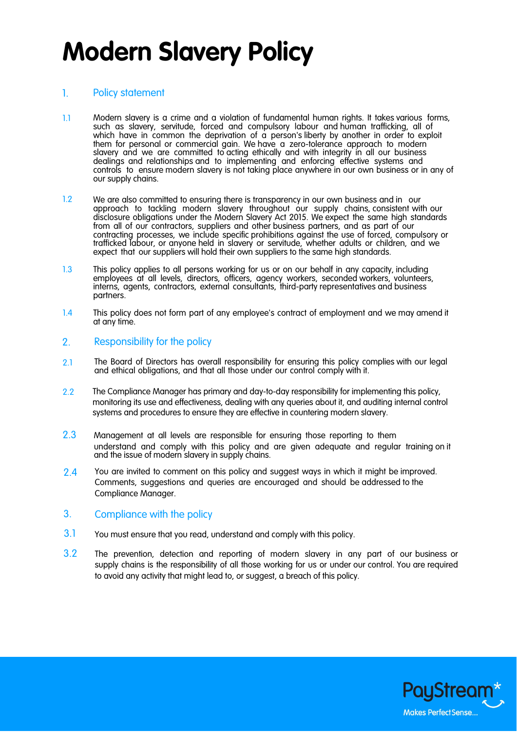# **Modern Slavery Policy**

### 1. Policy statement

- 1.1 Modern slavery is a crime and a violation of fundamental human rights. It takes various forms, such as slavery, servitude, forced and compulsory labour and human trafficking, all of which have in common the deprivation of a person's liberty by another in order to exploit them for personal or commercial gain. We have a zero-tolerance approach to modern slavery and we are committed to acting ethically and with integrity in all our business dealings and relationships and to implementing and enforcing effective systems and controls to ensure modern slavery is not taking place anywhere in our own business or in any of our supply chains.
- 1.2 We are also committed to ensuring there is transparency in our own business and in our approach to tackling modern slavery throughout our supply chains, consistent with our disclosure obligations under the Modern Slavery Act 2015. We expect the same high standards from all of our contractors, suppliers and other business partners, and as part of our contracting processes, we include specific prohibitions against the use of forced, compulsory or trafficked labour, or anyone held in slavery or servitude, whether adults or children, and we expect that our suppliers will hold their own suppliers to the same high standards.
- 1.3 This policy applies to all persons working for us or on our behalf in any capacity, including employees at all levels, directors, officers, agency workers, seconded workers, volunteers, interns, agents, contractors, external consultants, third-party representatives and business partners.
- 1.4 This policy does not form part of any employee's contract of employment and we may amend it at any time.

### 2. Responsibility for the policy

- 2.1 The Board of Directors has overall responsibility for ensuring this policy complies with our legal and ethical obligations, and that all those under our control comply with it.
- 2.2 The Compliance Manager has primary and day-to-day responsibility for implementing this policy, monitoring its use and effectiveness, dealing with any queries about it, and auditing internal control systems and procedures to ensure they are effective in countering modern slavery.
- 2.3 Management at all levels are responsible for ensuring those reporting to them understand and comply with this policy and are given adequate and regular training on it and the issue of modern slavery in supply chains.
- 2.4 You are invited to comment on this policy and suggest ways in which it might be improved. Comments, suggestions and queries are encouraged and should be addressed to the Compliance Manager.

## 3. Compliance with the policy

- 3.1 You must ensure that you read, understand and comply with this policy.
- 3.2 The prevention, detection and reporting of modern slavery in any part of our business or supply chains is the responsibility of all those working for us or under our control. You are required to avoid any activity that might lead to, or suggest, a breach of this policy.

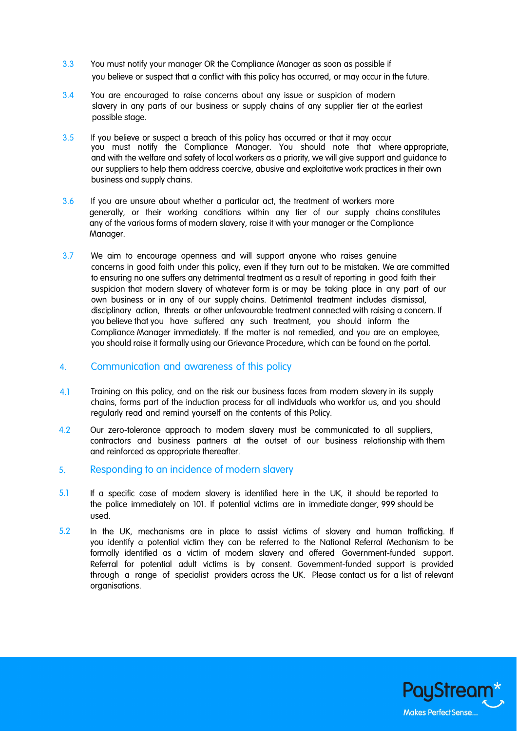- 3.3 You must notify your manager OR the Compliance Manager as soon as possible if you believe or suspect that a conflict with this policy has occurred, or may occur in the future.
- 3.4 You are encouraged to raise concerns about any issue or suspicion of modern slavery in any parts of our business or supply chains of any supplier tier at the earliest possible stage.
- 3.5 If you believe or suspect a breach of this policy has occurred or that it may occur you must notify the Compliance Manager. You should note that where appropriate, and with the welfare and safety of local workers as a priority, we will give support and guidance to our suppliers to help them address coercive, abusive and exploitative work practices in their own business and supply chains.
- 3.6 If you are unsure about whether a particular act, the treatment of workers more generally, or their working conditions within any tier of our supply chains constitutes any of the various forms of modern slavery, raise it with your manager or the Compliance Manager.
- 3.7 We aim to encourage openness and will support anyone who raises genuine concerns in good faith under this policy, even if they turn out to be mistaken. We are committed to ensuring no one suffers any detrimental treatment as a result of reporting in good faith their suspicion that modern slavery of whatever form is or may be taking place in any part of our own business or in any of our supply chains. Detrimental treatment includes dismissal, disciplinary action, threats or other unfavourable treatment connected with raising a concern. If you believe that you have suffered any such treatment, you should inform the Compliance Manager immediately. If the matter is not remedied, and you are an employee, you should raise it formally using our Grievance Procedure, which can be found on the portal.

### Communication and awareness of this policy 4.

- Training on this policy, and on the risk our business faces from modern slavery in its supply chains, forms part of the induction process for all individuals who workfor us, and you should regularly read and remind yourself on the contents of this Policy. 4.1
- 4.2 Our zero-tolerance approach to modern slavery must be communicated to all suppliers, contractors and business partners at the outset of our business relationship with them and reinforced as appropriate thereafter.
- 5. Responding to an incidence of modern slavery
- 5.1 If a specific case of modern slavery is identified here in the UK, it should be reported to the police immediately on 101. If potential victims are in immediate danger, 999 should be used.
- 5.2 In the UK, mechanisms are in place to assist victims of slavery and human trafficking. If you identify a potential victim they can be referred to the National Referral Mechanism to be formally identified as a victim of modern slavery and offered Government-funded support. Referral for potential adult victims is by consent. Government-funded support is provided through a range of specialist providers across the UK. Please contact us for a list of relevant organisations.